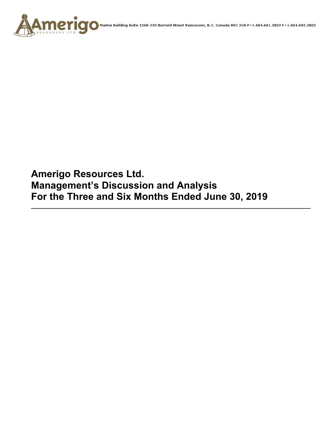

**Amerigo Resources Ltd. Management's Discussion and Analysis For the Three and Six Months Ended June 30, 2019** 

**\_\_\_\_\_\_\_\_\_\_\_\_\_\_\_\_\_\_\_\_\_\_\_\_\_\_\_\_\_\_\_\_\_\_\_\_\_\_\_\_\_\_\_\_\_\_\_\_\_\_\_\_\_\_\_\_\_\_\_\_\_\_\_\_\_\_\_\_\_\_\_\_\_\_\_\_\_\_\_\_\_\_\_\_**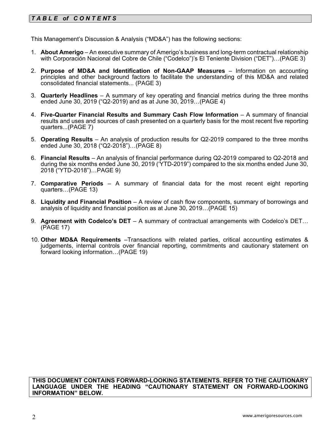# *T A B L E of C O N T E NT S*

This Management's Discussion & Analysis ("MD&A") has the following sections:

- 1. **About Amerigo**  An executive summary of Amerigo's business and long-term contractual relationship with Corporación Nacional del Cobre de Chile ("Codelco")'s El Teniente Division ("DET")…(PAGE 3)
- 2. **Purpose of MD&A and Identification of Non-GAAP Measures**  Information on accounting principles and other background factors to facilitate the understanding of this MD&A and related consolidated financial statements... (PAGE 3)
- 3. **Quarterly Headlines** A summary of key operating and financial metrics during the three months ended June 30, 2019 ("Q2-2019) and as at June 30, 2019…(PAGE 4)
- 4. **Five-Quarter Financial Results and Summary Cash Flow Information**  A summary of financial results and uses and sources of cash presented on a quarterly basis for the most recent five reporting quarters...(PAGE 7)
- 5. **Operating Results** An analysis of production results for Q2-2019 compared to the three months ended June 30, 2018 ("Q2-2018")…(PAGE 8)
- 6. **Financial Results**  An analysis of financial performance during Q2-2019 compared to Q2-2018 and during the six months ended June 30, 2019 ('YTD-2019") compared to the six months ended June 30, 2018 ("YTD-2018")…PAGE 9)
- 7. **Comparative Periods** A summary of financial data for the most recent eight reporting quarters…(PAGE 13)
- 8. **Liquidity and Financial Position** A review of cash flow components, summary of borrowings and analysis of liquidity and financial position as at June 30, 2019…(PAGE 15)
- 9. **Agreement with Codelco's DET** A summary of contractual arrangements with Codelco's DET… (PAGE 17)
- 10. **Other MD&A Requirements** –Transactions with related parties, critical accounting estimates & judgements, internal controls over financial reporting, commitments and cautionary statement on forward looking information…(PAGE 19)

**THIS DOCUMENT CONTAINS FORWARD-LOOKING STATEMENTS. REFER TO THE CAUTIONARY LANGUAGE UNDER THE HEADING "CAUTIONARY STATEMENT ON FORWARD-LOOKING INFORMATION" BELOW.**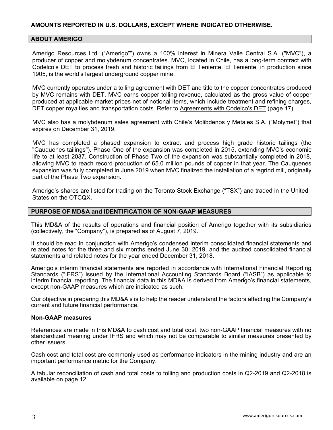# **AMOUNTS REPORTED IN U.S. DOLLARS, EXCEPT WHERE INDICATED OTHERWISE.**

#### **ABOUT AMERIGO**

Amerigo Resources Ltd. ("Amerigo"") owns a 100% interest in Minera Valle Central S.A. ("MVC"), a producer of copper and molybdenum concentrates. MVC, located in Chile, has a long-term contract with Codelco's DET to process fresh and historic tailings from El Teniente. El Teniente, in production since 1905, is the world's largest underground copper mine.

MVC currently operates under a tolling agreement with DET and title to the copper concentrates produced by MVC remains with DET. MVC earns copper tolling revenue, calculated as the gross value of copper produced at applicable market prices net of notional items, which include treatment and refining charges, DET copper royalties and transportation costs. Refer to Agreements with Codelco's DET (page 17).

MVC also has a molybdenum sales agreement with Chile's Molibdenos y Metales S.A. ("Molymet") that expires on December 31, 2019.

MVC has completed a phased expansion to extract and process high grade historic tailings (the "Cauquenes tailings"). Phase One of the expansion was completed in 2015, extending MVC's economic life to at least 2037. Construction of Phase Two of the expansion was substantially completed in 2018, allowing MVC to reach record production of 65.0 million pounds of copper in that year. The Cauquenes expansion was fully completed in June 2019 when MVC finalized the installation of a regrind mill, originally part of the Phase Two expansion.

Amerigo's shares are listed for trading on the Toronto Stock Exchange ("TSX") and traded in the United States on the OTCQX.

#### **PURPOSE OF MD&A and IDENTIFICATION OF NON-GAAP MEASURES**

This MD&A of the results of operations and financial position of Amerigo together with its subsidiaries (collectively, the "Company"), is prepared as of August 7, 2019.

It should be read in conjunction with Amerigo's condensed interim consolidated financial statements and related notes for the three and six months ended June 30, 2019, and the audited consolidated financial statements and related notes for the year ended December 31, 2018.

Amerigo's interim financial statements are reported in accordance with International Financial Reporting Standards ("IFRS") issued by the International Accounting Standards Board ("IASB") as applicable to interim financial reporting. The financial data in this MD&A is derived from Amerigo's financial statements, except non-GAAP measures which are indicated as such.

Our objective in preparing this MD&A's is to help the reader understand the factors affecting the Company's current and future financial performance.

#### **Non-GAAP measures**

References are made in this MD&A to cash cost and total cost, two non-GAAP financial measures with no standardized meaning under IFRS and which may not be comparable to similar measures presented by other issuers.

Cash cost and total cost are commonly used as performance indicators in the mining industry and are an important performance metric for the Company.

A tabular reconciliation of cash and total costs to tolling and production costs in Q2-2019 and Q2-2018 is available on page 12.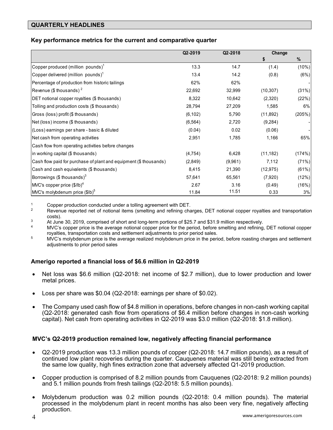# **QUARTERLY HEADLINES**

# **Key performance metrics for the current and comparative quarter**

|                                                                   | Q2-2019  | Q2-2018 | Change    |        |
|-------------------------------------------------------------------|----------|---------|-----------|--------|
|                                                                   |          |         | \$        | $\%$   |
| Copper produced (million pounds) $^1$                             | 13.3     | 14.7    | (1.4)     | (10%)  |
| Copper delivered (million pounds) $^{\dagger}$                    | 13.4     | 14.2    | (0.8)     | (6%)   |
| Percentage of production from historic tailings                   | 62%      | 62%     |           |        |
| Revenue (\$ thousands) $2$                                        | 22,692   | 32,999  | (10, 307) | (31%)  |
| DET notional copper royalties (\$ thousands)                      | 8,322    | 10,642  | (2,320)   | (22%)  |
| Tolling and production costs (\$ thousands)                       | 28,794   | 27,209  | 1,585     | 6%     |
| Gross (loss) profit (\$ thousands)                                | (6, 102) | 5,790   | (11, 892) | (205%) |
| Net (loss) income (\$ thousands)                                  | (6, 564) | 2,720   | (9, 284)  |        |
| (Loss) earnings per share - basic & diluted                       | (0.04)   | 0.02    | (0.06)    |        |
| Net cash from operating activities                                | 2,951    | 1,785   | 1,166     | 65%    |
| Cash flow from operating activities before changes                |          |         |           |        |
| in working capital (\$ thousands)                                 | (4, 754) | 6,428   | (11, 182) | (174%) |
| Cash flow paid for purchase of plant and equipment (\$ thousands) | (2,849)  | (9,961) | 7,112     | (71%)  |
| Cash and cash equivalents (\$ thousands)                          | 8,415    | 21,390  | (12, 975) | (61%)  |
| Borrowings (\$ thousands) $3$                                     | 57,641   | 65,561  | (7,920)   | (12%)  |
| MVC's copper price $($/lb)^4$                                     | 2.67     | 3.16    | (0.49)    | (16%)  |
| MVC's molybdenum price (\$lb) <sup>5</sup>                        | 11.84    | 11.51   | 0.33      | 3%     |

1 Copper production conducted under a tolling agreement with DET.<br>2 Boyanus reported not of potional items (smalling and refining cha

- Revenue reported net of notional items (smelting and refining charges, DET notional copper royalties and transportation costs).<br>At June 30, 2019, comprised of short and long-term portions of \$25.7 and \$31.9 million respectively.<br>MVC's copper price is the average notional copper price for the period, before smelting and refining, DET notiona
- 
- royalties, transportation costs and settlement adjustments to prior period sales.<br><sup>5</sup> MVC's molybdenum price is the average realized molybdenum price in the period, before roasting charges and settlement
- adjustments to prior period sales

# **Amerigo reported a financial loss of \$6.6 million in Q2-2019**

- Net loss was \$6.6 million (Q2-2018: net income of \$2.7 million), due to lower production and lower metal prices.
- Loss per share was \$0.04 (Q2-2018: earnings per share of \$0.02).
- The Company used cash flow of \$4.8 million in operations, before changes in non-cash working capital (Q2-2018: generated cash flow from operations of \$6.4 million before changes in non-cash working capital). Net cash from operating activities in Q2-2019 was \$3.0 million (Q2-2018: \$1.8 million).

# **MVC's Q2-2019 production remained low, negatively affecting financial performance**

- Q2-2019 production was 13.3 million pounds of copper (Q2-2018: 14.7 million pounds), as a result of continued low plant recoveries during the quarter. Cauquenes material was still being extracted from the same low quality, high fines extraction zone that adversely affected Q1-2019 production.
- Copper production is comprised of 8.2 million pounds from Cauquenes (Q2-2018: 9.2 million pounds) and 5.1 million pounds from fresh tailings (Q2-2018: 5.5 million pounds).
- Molybdenum production was 0.2 million pounds (Q2-2018: 0.4 million pounds). The material processed in the molybdenum plant in recent months has also been very fine, negatively affecting production.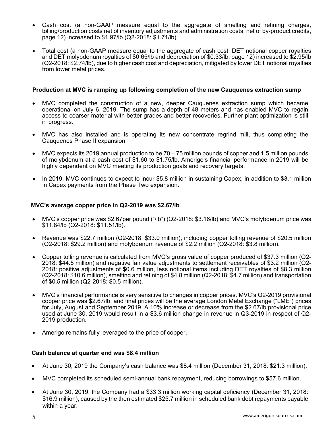- Cash cost (a non-GAAP measure equal to the aggregate of smelting and refining charges, tolling/production costs net of inventory adjustments and administration costs, net of by-product credits, page 12) increased to \$1.97/lb (Q2-2018: \$1.71/lb).
- Total cost (a non-GAAP measure equal to the aggregate of cash cost, DET notional copper royalties and DET molybdenum royalties of \$0.65/lb and depreciation of \$0.33/lb, page 12) increased to \$2.95/lb (Q2-2018: \$2.74/lb), due to higher cash cost and depreciation, mitigated by lower DET notional royalties from lower metal prices.

### **Production at MVC is ramping up following completion of the new Cauquenes extraction sump**

- MVC completed the construction of a new, deeper Cauquenes extraction sump which became operational on July 6, 2019. The sump has a depth of 48 meters and has enabled MVC to regain access to coarser material with better grades and better recoveries. Further plant optimization is still in progress.
- MVC has also installed and is operating its new concentrate regrind mill, thus completing the Cauquenes Phase II expansion.
- MVC expects its 2019 annual production to be 70 75 million pounds of copper and 1.5 million pounds of molybdenum at a cash cost of \$1.60 to \$1.75/lb. Amerigo's financial performance in 2019 will be highly dependent on MVC meeting its production goals and recovery targets.
- In 2019, MVC continues to expect to incur \$5.8 million in sustaining Capex, in addition to \$3.1 million in Capex payments from the Phase Two expansion.

#### **MVC's average copper price in Q2-2019 was \$2.67/lb**

- MVC's copper price was \$2.67per pound ("/lb") (Q2-2018: \$3.16/lb) and MVC's molybdenum price was \$11.84/lb (Q2-2018: \$11.51/lb).
- Revenue was \$22.7 million (Q2-2018: \$33.0 million), including copper tolling revenue of \$20.5 million (Q2-2018: \$29.2 million) and molybdenum revenue of \$2.2 million (Q2-2018: \$3.8 million).
- Copper tolling revenue is calculated from MVC's gross value of copper produced of \$37.3 million (Q2- 2018: \$44.5 million) and negative fair value adjustments to settlement receivables of \$3.2 million (Q2- 2018: positive adjustments of \$0.6 million, less notional items including DET royalties of \$8.3 million (Q2-2018: \$10.6 million), smelting and refining of \$4.8 million (Q2-2018: \$4.7 million) and transportation of \$0.5 million (Q2-2018: \$0.5 million).
- MVC's financial performance is very sensitive to changes in copper prices. MVC's Q2-2019 provisional copper price was \$2.67/lb, and final prices will be the average London Metal Exchange ("LME") prices for July, August and September 2019. A 10% increase or decrease from the \$2.67/lb provisional price used at June 30, 2019 would result in a \$3.6 million change in revenue in Q3-2019 in respect of Q2- 2019 production.
- Amerigo remains fully leveraged to the price of copper.

#### **Cash balance at quarter end was \$8.4 million**

- At June 30, 2019 the Company's cash balance was \$8.4 million (December 31, 2018: \$21.3 million).
- MVC completed its scheduled semi-annual bank repayment, reducing borrowings to \$57.6 million.
- At June 30, 2019, the Company had a \$33.3 million working capital deficiency (December 31, 2018: \$16.9 million), caused by the then estimated \$25.7 million in scheduled bank debt repayments payable within a year.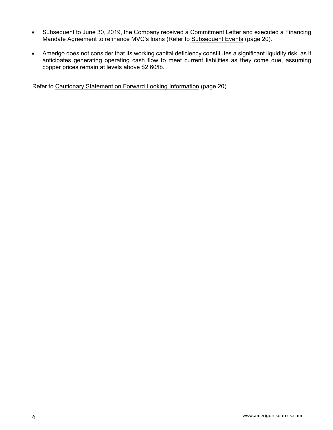- Subsequent to June 30, 2019, the Company received a Commitment Letter and executed a Financing Mandate Agreement to refinance MVC's loans (Refer to Subsequent Events (page 20).
- Amerigo does not consider that its working capital deficiency constitutes a significant liquidity risk, as it anticipates generating operating cash flow to meet current liabilities as they come due, assuming copper prices remain at levels above \$2.60/lb.

Refer to Cautionary Statement on Forward Looking Information (page 20).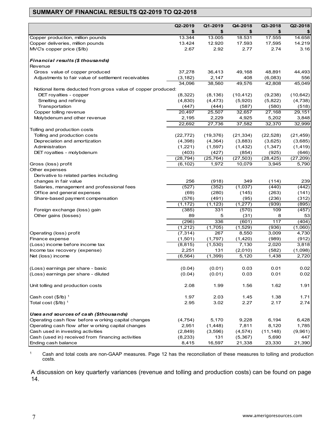# **SUMMARY OF FINANCIAL RESULTS Q2-2019 TO Q2-2018**

|                                                              | Q2-2019   | Q1-2019   | Q4-2018           | Q3-2018   | Q2-2018   |
|--------------------------------------------------------------|-----------|-----------|-------------------|-----------|-----------|
|                                                              | \$        | \$        | \$                | \$        |           |
| Copper production, million pounds                            | 13.344    | 13.005    | 18.531            | 17.555    | 14.658    |
| Copper deliveries, million pounds                            | 13.424    | 12.920    | 17.593            | 17,595    | 14.219    |
| MVC's copper price (\$/lb)                                   | 2.67      | 2.92      | 2.77              | 2.74      | 3.16      |
|                                                              |           |           |                   |           |           |
| Financial results (\$ thousands)                             |           |           |                   |           |           |
| Revenue                                                      |           |           |                   |           |           |
| Gross value of copper produced                               | 37,278    | 36,413    | 49,168            | 48,891    | 44,493    |
| Adjustments to fair value of settlement receivables          | (3, 182)  | 2,147     | 408               | (6,083)   | 556       |
|                                                              | 34,096    | 38,560    | 49,576            | 42,808    | 45,049    |
| Notional items deducted from gross value of copper produced: |           |           |                   |           |           |
| DET royalties - copper                                       | (8,322)   | (8, 136)  | (10, 412)         | (9,238)   | (10, 642) |
| Smelting and refining                                        | (4,830)   | (4, 473)  | (5,920)           | (5,822)   | (4,738)   |
| Transportation                                               | (447)     | (444)     | (587)             | (580)     | (518)     |
| Copper tolling revenue                                       | 20,497    | 25,507    | 32,657            | 27,168    | 29,151    |
| Molybdenum and other revenue                                 | 2,195     | 2,229     | 4,925             | 5,202     | 3,848     |
|                                                              | 22,692    | 27,736    | 37,582            | 32,370    | 32,999    |
| Tolling and production costs                                 |           |           |                   |           |           |
| Tolling and production costs                                 | (22, 772) | (19, 376) | (21, 334)         | (22, 528) | (21, 459) |
| Depreciation and amortization                                | (4,398)   | (4, 364)  | (3,883)           | (3,625)   | (3,685)   |
| Administration                                               | (1,221)   | (1,597)   | (1, 432)          | (1, 347)  | (1, 419)  |
| DET royalties - molybdenum                                   | (403)     | (427)     | (854)             | (925)     | (646)     |
|                                                              | (28, 794) | (25, 764) | (27, 503)         | (28, 425) | (27, 209) |
| Gross (loss) profit                                          | (6, 102)  | 1,972     | 10,079            | 3,945     | 5,790     |
| Other expenses                                               |           |           |                   |           |           |
| Derivative to related parties including                      |           |           |                   |           |           |
| changes in fair value                                        | 256       | (918)     | 349               | (114)     | 239       |
| Salaries, management and professional fees                   | (527)     | (352)     | (1,037)           | (440)     | (442)     |
| Office and general expenses                                  | (69)      | (280)     | (145)             | (263)     | (141)     |
| Share-based payment compensation                             | (576)     | (491)     | (95)              | (236)     | (312)     |
|                                                              | (1, 172)  | (1, 123)  | (1, 277)          | (939)     | (895)     |
| Foreign exchange (loss) gain                                 | (385)     | 331       | (570)             | 109       | (457)     |
| Other gains (losses)                                         | 89        | 5         | (31)              | 8         | 53        |
|                                                              | (296)     | 336       | (601)             | 117       | (404)     |
|                                                              | (1,212)   | (1,705)   | (1,529)           | (936)     | (1,060)   |
| Operating (loss) profit                                      | (7, 314)  | 267       | 8,550             | 3,009     | 4,730     |
| Finance expense                                              | (1,501)   | (1,797)   | (1,420)           | (989)     | (912)     |
| (Loss) income before income tax                              | (8, 815)  | (1,530)   | 7,130             | 2,020     | 3,818     |
| Income tax recovery (expense)                                | 2,251     | 131       | (2,010)           | (582)     | (1,098)   |
| Net (loss) income                                            | (6, 564)  | (1, 399)  | $\frac{1}{5,120}$ | 1,438     | 2,720     |
| (Loss) earnings per share - basic                            | (0.04)    | (0.01)    | 0.03              | 0.01      | 0.02      |
| (Loss) earnings per share - diluted                          | (0.04)    | (0.01)    | 0.03              | 0.01      | 0.02      |
|                                                              |           |           |                   |           |           |
| Unit tolling and production costs                            | 2.08      | 1.99      | 1.56              | 1.62      | 1.91      |
| Cash cost $(\$/IB)^1$                                        | 1.97      | 2.03      | 1.45              | 1.38      | 1.71      |
| Total cost $(\$/IB)^{-1}$                                    | 2.95      | 3.02      | 2.27              | 2.17      | 2.74      |
| Uses and sources of cash (\$thousands)                       |           |           |                   |           |           |
| Operating cash flow before w orking capital changes          | (4, 754)  | 5,170     | 9,228             | 6,194     | 6,428     |
| Operating cash flow after w orking capital changes           | 2,951     | (1, 448)  | 7,811             | 8,120     | 1,785     |
| Cash used in investing activities                            | (2,849)   | (3,596)   | (4, 574)          | (11, 148) | (9,961)   |
| Cash (used in) received from financing activities            | (8, 233)  | 131       | (5, 367)          | 5,690     | 447       |
| Ending cash balance                                          | 8,415     | 16,597    | 21,338            | 23,330    | 21,390    |

 $1$  Cash and total costs are non-GAAP measures. Page 12 has the reconciliation of these measures to tolling and production costs.

A discussion on key quarterly variances (revenue and tolling and production costs) can be found on page 14.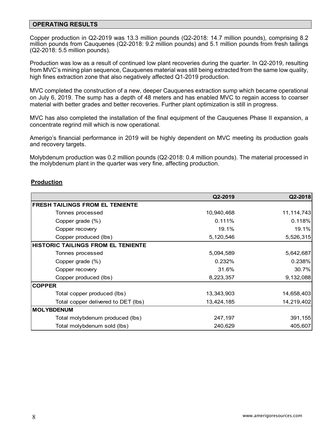### **OPERATING RESULTS**

Copper production in Q2-2019 was 13.3 million pounds (Q2-2018: 14.7 million pounds), comprising 8.2 million pounds from Cauquenes (Q2-2018: 9.2 million pounds) and 5.1 million pounds from fresh tailings (Q2-2018: 5.5 million pounds).

Production was low as a result of continued low plant recoveries during the quarter. In Q2-2019, resulting from MVC's mining plan sequence, Cauquenes material was still being extracted from the same low quality, high fines extraction zone that also negatively affected Q1-2019 production.

MVC completed the construction of a new, deeper Cauquenes extraction sump which became operational on July 6, 2019. The sump has a depth of 48 meters and has enabled MVC to regain access to coarser material with better grades and better recoveries. Further plant optimization is still in progress.

MVC has also completed the installation of the final equipment of the Cauquenes Phase II expansion, a concentrate regrind mill which is now operational.

Amerigo's financial performance in 2019 will be highly dependent on MVC meeting its production goals and recovery targets.

Molybdenum production was 0.2 million pounds (Q2-2018: 0.4 million pounds). The material processed in the molybdenum plant in the quarter was very fine, affecting production.

# **Production**

|                                           | Q2-2019    | Q2-2018      |
|-------------------------------------------|------------|--------------|
| <b>FRESH TAILINGS FROM EL TENIENTE</b>    |            |              |
| Tonnes processed                          | 10,940,468 | 11, 114, 743 |
| Copper grade (%)                          | 0.111%     | 0.118%       |
| Copper recovery                           | 19.1%      | 19.1%        |
| Copper produced (lbs)                     | 5,120,546  | 5,526,315    |
| <b>HISTORIC TAILINGS FROM EL TENIENTE</b> |            |              |
| Tonnes processed                          | 5,094,589  | 5,642,687    |
| Copper grade (%)                          | 0.232%     | 0.238%       |
| Copper recovery                           | 31.6%      | 30.7%        |
| Copper produced (lbs)                     | 8,223,357  | 9,132,088    |
| <b>COPPER</b>                             |            |              |
| Total copper produced (lbs)               | 13,343,903 | 14,658,403   |
| Total copper delivered to DET (lbs)       | 13,424,185 | 14,219,402   |
| <b>MOLYBDENUM</b>                         |            |              |
| Total molybdenum produced (lbs)           | 247,197    | 391,155      |
| Total molybdenum sold (lbs)               | 240,629    | 405,607      |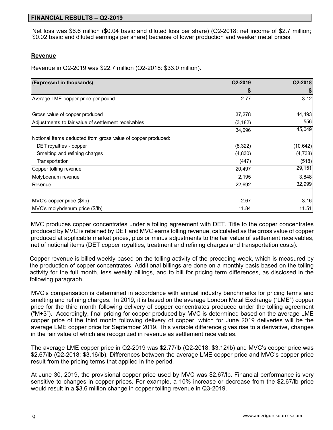# **FINANCIAL RESULTS – Q2-2019**

Net loss was \$6.6 million (\$0.04 basic and diluted loss per share) (Q2-2018: net income of \$2.7 million; \$0.02 basic and diluted earnings per share) because of lower production and weaker metal prices.

### **Revenue**

Revenue in Q2-2019 was \$22.7 million (Q2-2018: \$33.0 million).

| (Expressed in thousands)                                     | Q2-2019  | Q2-2018   |
|--------------------------------------------------------------|----------|-----------|
|                                                              |          |           |
| Average LME copper price per pound                           | 2.77     | 3.12      |
| Gross value of copper produced                               | 37,278   | 44,493    |
| Adjustments to fair value of settlement receivables          | (3, 182) | 556       |
|                                                              | 34,096   | 45,049    |
| Notional items deducted from gross value of copper produced: |          |           |
| DET royalties - copper                                       | (8, 322) | (10, 642) |
| Smelting and refining charges                                | (4,830)  | (4, 738)  |
| Transportation                                               | (447)    | (518)     |
| Copper tolling revenue                                       | 20,497   | 29,151    |
| Molybdenum revenue                                           | 2,195    | 3,848     |
| Revenue                                                      | 22,692   | 32,999    |
| MVC's copper price (\$/lb)                                   | 2.67     | 3.16      |
| MVC's molybdenum price (\$/lb)                               | 11.84    | 11.51     |

MVC produces copper concentrates under a tolling agreement with DET. Title to the copper concentrates produced by MVC is retained by DET and MVC earns tolling revenue, calculated as the gross value of copper produced at applicable market prices, plus or minus adjustments to the fair value of settlement receivables, net of notional items (DET copper royalties, treatment and refining charges and transportation costs).

Copper revenue is billed weekly based on the tolling activity of the preceding week, which is measured by the production of copper concentrates. Additional billings are done on a monthly basis based on the tolling activity for the full month, less weekly billings, and to bill for pricing term differences, as disclosed in the following paragraph.

MVC's compensation is determined in accordance with annual industry benchmarks for pricing terms and smelting and refining charges. In 2019, it is based on the average London Metal Exchange ("LME") copper price for the third month following delivery of copper concentrates produced under the tolling agreement  $("M+3")$ . Accordingly, final pricing for copper produced by MVC is determined based on the average LME copper price of the third month following delivery of copper, which for June 2019 deliveries will be the average LME copper price for September 2019. This variable difference gives rise to a derivative, changes in the fair value of which are recognized in revenue as settlement receivables.

The average LME copper price in Q2-2019 was \$2.77/lb (Q2-2018: \$3.12/lb) and MVC's copper price was \$2.67/lb (Q2-2018: \$3.16/lb). Differences between the average LME copper price and MVC's copper price result from the pricing terms that applied in the period.

At June 30, 2019, the provisional copper price used by MVC was \$2.67/lb. Financial performance is very sensitive to changes in copper prices. For example, a 10% increase or decrease from the \$2.67/lb price would result in a \$3.6 million change in copper tolling revenue in Q3-2019.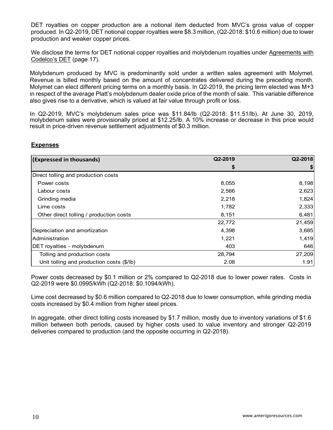DET royalties on copper production are a notional item deducted from MVC's gross value of copper produced. In Q2-2019, DET notional copper royalties were \$8.3 million, (Q2-2018: \$10.6 million) due to lower production and weaker copper prices.

We disclose the terms for DET notional copper royalties and molybdenum royalties under Agreements with Codelco's DET (page 17).

Molybdenum produced by MVC is predominantly sold under a written sales agreement with Molymet. Revenue is billed monthly based on the amount of concentrates delivered during the preceding month. Molymet can elect different pricing terms on a monthly basis. In Q2-2019, the pricing term elected was M+3 in respect of the average Platt's molybdenum dealer oxide price of the month of sale. This variable difference also gives rise to a derivative, which is valued at fair value through profit or loss.

In Q2-2019, MVC's molybdenum sales price was \$11.84/lb (Q2-2018: \$11.51/lb). At June 30, 2019, molybdenum sales were provisionally priced at \$12.25/lb. A 10% increase or decrease in this price would result in price-driven revenue settlement adjustments of \$0.3 million.

# **Expenses**

| (Expressed in thousands)                  | Q2-2019 | Q2-2018 |
|-------------------------------------------|---------|---------|
|                                           |         |         |
| Direct tolling and production costs       |         |         |
| Power costs                               | 8,055   | 8,198   |
| Labour costs                              | 2,566   | 2,623   |
| Grinding media                            | 2,218   | 1,824   |
| Lime costs                                | 1,782   | 2,333   |
| Other direct tolling / production costs   | 8,151   | 6,481   |
|                                           | 22,772  | 21,459  |
| Depreciation and amortization             | 4,398   | 3,685   |
| Administration                            | 1,221   | 1,419   |
| DET royalties - molybdenum                | 403     | 646     |
| Tolling and production costs              | 28,794  | 27,209  |
| Unit tolling and production costs (\$/lb) | 2.08    | 1.91    |

Power costs decreased by \$0.1 million or 2% compared to Q2-2018 due to lower power rates. Costs in Q2-2019 were \$0.0995/kWh (Q2-2018: \$0.1094/kWh).

Lime cost decreased by \$0.6 million compared to Q2-2018 due to lower consumption, while grinding media costs increased by \$0.4 million from higher steel prices.

In aggregate, other direct tolling costs increased by \$1.7 million, mostly due to inventory variations of \$1.6 million between both periods, caused by higher costs used to value inventory and stronger Q2-2019 deliveries compared to production (and the opposite occurring in Q2-2018).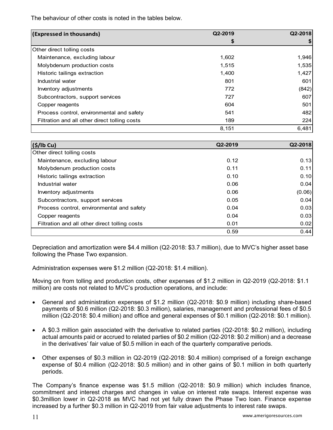The behaviour of other costs is noted in the tables below.

| (Expressed in thousands)                      | Q2-2019 | Q2-2018 |
|-----------------------------------------------|---------|---------|
|                                               | 5       |         |
| Other direct tolling costs                    |         |         |
| Maintenance, excluding labour                 | 1,602   | 1,946   |
| Molybdenum production costs                   | 1,515   | 1,535   |
| Historic tailings extraction                  | 1,400   | 1,427   |
| Industrial water                              | 801     | 601     |
| Inventory adjustments                         | 772     | (842)   |
| Subcontractors, support services              | 727     | 607     |
| Copper reagents                               | 604     | 501     |
| Process control, environmental and safety     | 541     | 482     |
| Filtration and all other direct tolling costs | 189     | 224     |
|                                               | 8,151   | 6,481   |

| (S/lb Cu)                                     | Q2-2019 | Q2-2018 |
|-----------------------------------------------|---------|---------|
| Other direct tolling costs                    |         |         |
| Maintenance, excluding labour                 | 0.12    | 0.13    |
| Molybdenum production costs                   | 0.11    | 0.11    |
| Historic tailings extraction                  | 0.10    | 0.10    |
| Industrial water                              | 0.06    | 0.04    |
| Inventory adjustments                         | 0.06    | (0.06)  |
| Subcontractors, support services              | 0.05    | 0.04    |
| Process control, environmental and safety     | 0.04    | 0.03    |
| Copper reagents                               | 0.04    | 0.03    |
| Filtration and all other direct tolling costs | 0.01    | 0.02    |
|                                               | 0.59    | 0.44    |

Depreciation and amortization were \$4.4 million (Q2-2018: \$3.7 million), due to MVC's higher asset base following the Phase Two expansion.

Administration expenses were \$1.2 million (Q2-2018: \$1.4 million).

Moving on from tolling and production costs, other expenses of \$1.2 million in Q2-2019 (Q2-2018: \$1.1 million) are costs not related to MVC's production operations, and include:

- General and administration expenses of \$1.2 million (Q2-2018: \$0.9 million) including share-based payments of \$0.6 million (Q2-2018: \$0.3 million), salaries, management and professional fees of \$0.5 million (Q2-2018: \$0.4 million) and office and general expenses of \$0.1 million (Q2-2018: \$0.1 million).
- A \$0.3 million gain associated with the derivative to related parties (Q2-2018: \$0.2 million), including actual amounts paid or accrued to related parties of \$0.2 million (Q2-2018: \$0.2 million) and a decrease in the derivatives' fair value of \$0.5 million in each of the quarterly comparative periods.
- Other expenses of \$0.3 million in Q2-2019 (Q2-2018: \$0.4 million) comprised of a foreign exchange expense of \$0.4 million (Q2-2018: \$0.5 million) and in other gains of \$0.1 million in both quarterly periods.

The Company's finance expense was \$1.5 million (Q2-2018: \$0.9 million) which includes finance, commitment and interest charges and changes in value on interest rate swaps. Interest expense was \$0.3million lower in Q2-2018 as MVC had not yet fully drawn the Phase Two loan. Finance expense increased by a further \$0.3 million in Q2-2019 from fair value adjustments to interest rate swaps.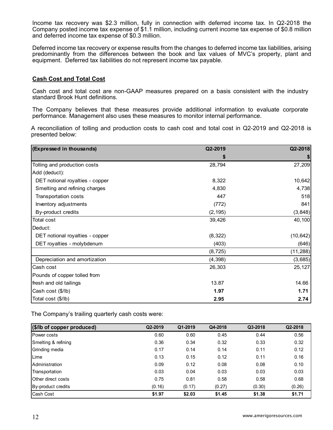Income tax recovery was \$2.3 million, fully in connection with deferred income tax. In Q2-2018 the Company posted income tax expense of \$1.1 million, including current income tax expense of \$0.8 million and deferred income tax expense of \$0.3 million.

Deferred income tax recovery or expense results from the changes to deferred income tax liabilities, arising predominantly from the differences between the book and tax values of MVC's property, plant and equipment. Deferred tax liabilities do not represent income tax payable.

### **Cash Cost and Total Cost**

Cash cost and total cost are non-GAAP measures prepared on a basis consistent with the industry standard Brook Hunt definitions.

The Company believes that these measures provide additional information to evaluate corporate performance. Management also uses these measures to monitor internal performance.

A reconciliation of tolling and production costs to cash cost and total cost in Q2-2019 and Q2-2018 is presented below:

| (Expressed in thousands)        | Q2-2019  | Q2-2018   |
|---------------------------------|----------|-----------|
|                                 | S        | \$        |
| Tolling and production costs    | 28,794   | 27,209    |
| Add (deduct):                   |          |           |
| DET notional royalties - copper | 8,322    | 10,642    |
| Smelting and refining charges   | 4,830    | 4,738     |
| <b>Transportation costs</b>     | 447      | 518       |
| Inventory adjustments           | (772)    | 841       |
| By-product credits              | (2, 195) | (3,848)   |
| <b>Total cost</b>               | 39,426   | 40,100    |
| Deduct:                         |          |           |
| DET notional royalties - copper | (8, 322) | (10, 642) |
| DET royalties - molybdenum      | (403)    | (646)     |
|                                 | (8, 725) | (11, 288) |
| Depreciation and amortization   | (4, 398) | (3,685)   |
| Cash cost                       | 26,303   | 25,127    |
| Pounds of copper tolled from    |          |           |
| fresh and old tailings          | 13.87    | 14.66     |
| Cash cost (\$/lb)               | 1.97     | 1.71      |
| Total cost (\$/lb)              | 2.95     | 2.74      |

The Company's trailing quarterly cash costs were:

| (\$/lb of copper produced) | Q2-2019 | Q1-2019 | Q4-2018 | Q3-2018 | Q2-2018 |
|----------------------------|---------|---------|---------|---------|---------|
| <b>Power costs</b>         | 0.60    | 0.60    | 0.45    | 0.44    | 0.56    |
| Smelting & refining        | 0.36    | 0.34    | 0.32    | 0.33    | 0.32    |
| Grinding media             | 0.17    | 0.14    | 0.14    | 0.11    | 0.12    |
| Lime                       | 0.13    | 0.15    | 0.12    | 0.11    | 0.16    |
| Administration             | 0.09    | 0.12    | 0.08    | 0.08    | 0.10    |
| Transportation             | 0.03    | 0.04    | 0.03    | 0.03    | 0.03    |
| Other direct costs         | 0.75    | 0.81    | 0.58    | 0.58    | 0.68    |
| By-product credits         | (0.16)  | (0.17)  | (0.27)  | (0.30)  | (0.26)  |
| Cash Cost                  | \$1.97  | \$2.03  | \$1.45  | \$1.38  | \$1.71  |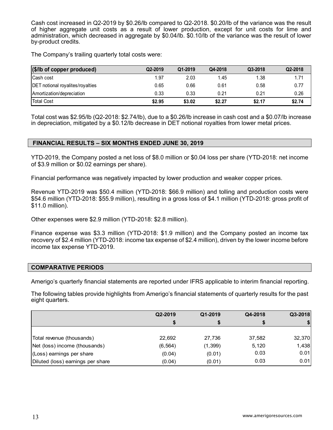Cash cost increased in Q2-2019 by \$0.26/lb compared to Q2-2018. \$0.20/lb of the variance was the result of higher aggregate unit costs as a result of lower production, except for unit costs for lime and administration, which decreased in aggregate by \$0.04/lb. \$0.10/lb of the variance was the result of lower by-product credits.

The Company's trailing quarterly total costs were:

| $(\$$ /lb of copper produced)           | Q2-2019 | Q1-2019 | Q4-2018 | Q3-2018 | Q2-2018 |
|-----------------------------------------|---------|---------|---------|---------|---------|
| <b>Cash cost</b>                        | 1.97    | 2.03    | 1.45    | 1.38    | 1.71    |
| <b>DET</b> notional royalites/royalties | 0.65    | 0.66    | 0.61    | 0.58    | 0.77    |
| Amortization/depreciation               | 0.33    | 0.33    | 0.21    | 0.21    | 0.26    |
| <b>Total Cost</b>                       | \$2.95  | \$3.02  | \$2.27  | \$2.17  | \$2.74  |

Total cost was \$2.95/lb (Q2-2018: \$2.74/lb), due to a \$0.26/lb increase in cash cost and a \$0.07/lb increase in depreciation, mitigated by a \$0.12/lb decrease in DET notional royalties from lower metal prices.

# **FINANCIAL RESULTS – SIX MONTHS ENDED JUNE 30, 2019**

YTD-2019, the Company posted a net loss of \$8.0 million or \$0.04 loss per share (YTD-2018: net income of \$3.9 million or \$0.02 earnings per share).

Financial performance was negatively impacted by lower production and weaker copper prices.

Revenue YTD-2019 was \$50.4 million (YTD-2018: \$66.9 million) and tolling and production costs were \$54.6 million (YTD-2018: \$55.9 million), resulting in a gross loss of \$4.1 million (YTD-2018: gross profit of \$11.0 million).

Other expenses were \$2.9 million (YTD-2018: \$2.8 million).

Finance expense was \$3.3 million (YTD-2018: \$1.9 million) and the Company posted an income tax recovery of \$2.4 million (YTD-2018: income tax expense of \$2.4 million), driven by the lower income before income tax expense YTD-2019.

#### **COMPARATIVE PERIODS**

Amerigo's quarterly financial statements are reported under IFRS applicable to interim financial reporting.

The following tables provide highlights from Amerigo's financial statements of quarterly results for the past eight quarters.

|                                   | Q2-2019  | Q1-2019  | Q4-2018 | Q3-2018 |
|-----------------------------------|----------|----------|---------|---------|
|                                   |          | \$       | \$      |         |
|                                   |          |          |         |         |
| Total revenue (thousands)         | 22,692   | 27,736   | 37,582  | 32,370  |
| Net (loss) income (thousands)     | (6, 564) | (1, 399) | 5,120   | 1,438   |
| (Loss) earnings per share         | (0.04)   | (0.01)   | 0.03    | 0.01    |
| Diluted (loss) earnings per share | (0.04)   | (0.01)   | 0.03    | 0.01    |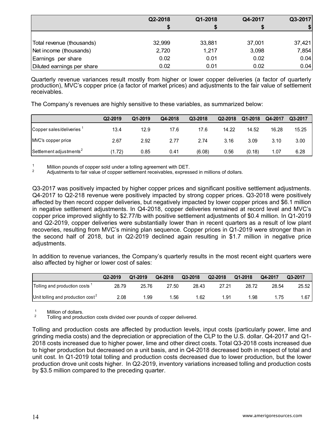|                            | Q2-2018 | Q1-2018 | Q4-2017 | Q3-2017 |
|----------------------------|---------|---------|---------|---------|
|                            | S       |         |         |         |
|                            |         |         |         |         |
| Total revenue (thousands)  | 32,999  | 33,881  | 37,001  | 37,421  |
| Net income (thousands)     | 2,720   | 1,217   | 3,098   | 7,854   |
| Earnings per share         | 0.02    | 0.01    | 0.02    | 0.04    |
| Diluted earnings per share | 0.02    | 0.01    | 0.02    | 0.04    |

Quarterly revenue variances result mostly from higher or lower copper deliveries (a factor of quarterly production), MVC's copper price (a factor of market prices) and adjustments to the fair value of settlement receivables.

The Company's revenues are highly sensitive to these variables, as summarized below:

|                                      | Q2-2019 | Q1-2019 | Q4-2018 | Q3-2018 | Q2-2018 | Q1-2018 | Q4-2017 | Q3-2017 |
|--------------------------------------|---------|---------|---------|---------|---------|---------|---------|---------|
| Copper sales/deliveries <sup>1</sup> | 13.4    | 12.9    | 17.6    | 17.6    | 14.22   | 14.52   | 16.28   | 15.25   |
| MVC's copper price                   | 2.67    | 2.92    | 2.77    | 2.74    | 3.16    | 3.09    | 3.10    | 3.00    |
| Settlement adjustments <sup>2</sup>  | (1.72)  | 0.85    | 0.41    | (6.08)  | 0.56    | (0.18)  | 1.07    | 6.28    |

1 Million pounds of copper sold under a tolling agreement with DET.<br>2 Adjustments to fair value of copper settlement receivables, expressed in millions of dollars.

Q3-2017 was positively impacted by higher copper prices and significant positive settlement adjustments. Q4-2017 to Q2-218 revenue were positively impacted by strong copper prices. Q3-2018 were positively affected by then record copper deliveries, but negatively impacted by lower copper prices and \$6.1 million in negative settlement adjustments. In Q4-2018, copper deliveries remained at record level and MVC's copper price improved slightly to \$2.77/lb with positive settlement adjustments of \$0.4 million. In Q1-2019 and Q2-2019, copper deliveries were substantially lower than in recent quarters as a result of low plant recoveries, resulting from MVC's mining plan sequence. Copper prices in Q1-2019 were stronger than in the second half of 2018, but in Q2-2019 declined again resulting in \$1.7 million in negative price adjustments.

In addition to revenue variances, the Company's quarterly results in the most recent eight quarters were also affected by higher or lower cost of sales:

|                                      | Q2-2019 | Q1-2019 | Q4-2018 | Q3-2018 | Q2-2018 | Q1-2018 | Q4-2017 | Q3-2017 |
|--------------------------------------|---------|---------|---------|---------|---------|---------|---------|---------|
| Tolling and production costs 1       | 28.79   | 25.76   | 27.50   | 28.43   | 27.21   | 28.72   | 28.54   | 25.52   |
| Unit tolling and production $cost^2$ | 2.08    | .99     | .56     | .62     | l.91    | .98     | .75     | .67 I   |

 $\frac{1}{2}$  Million of dollars.

2 Tolling and production costs divided over pounds of copper delivered.

Tolling and production costs are affected by production levels, input costs (particularly power, lime and grinding media costs) and the depreciation or appreciation of the CLP to the U.S. dollar. Q4-2017 and Q1- 2018 costs increased due to higher power, lime and other direct costs. Total Q3-2018 costs increased due to higher production but decreased on a unit basis, and in Q4-2018 decreased both in respect of total and unit cost. In Q1-2019 total tolling and production costs decreased due to lower production, but the lower production drove unit costs higher. In Q2-2019, inventory variations increased tolling and production costs by \$3.5 million compared to the preceding quarter.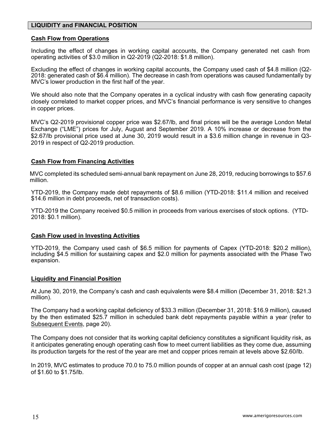# **LIQUIDITY and FINANCIAL POSITION**

### **Cash Flow from Operations**

Including the effect of changes in working capital accounts, the Company generated net cash from operating activities of \$3.0 million in Q2-2019 (Q2-2018: \$1.8 million).

Excluding the effect of changes in working capital accounts, the Company used cash of \$4.8 million (Q2- 2018: generated cash of \$6.4 million). The decrease in cash from operations was caused fundamentally by MVC's lower production in the first half of the year.

We should also note that the Company operates in a cyclical industry with cash flow generating capacity closely correlated to market copper prices, and MVC's financial performance is very sensitive to changes in copper prices.

MVC's Q2-2019 provisional copper price was \$2.67/lb, and final prices will be the average London Metal Exchange ("LME") prices for July, August and September 2019. A 10% increase or decrease from the \$2.67/lb provisional price used at June 30, 2019 would result in a \$3.6 million change in revenue in Q3- 2019 in respect of Q2-2019 production.

### **Cash Flow from Financing Activities**

MVC completed its scheduled semi-annual bank repayment on June 28, 2019, reducing borrowings to \$57.6 million.

YTD-2019, the Company made debt repayments of \$8.6 million (YTD-2018: \$11.4 million and received \$14.6 million in debt proceeds, net of transaction costs).

YTD-2019 the Company received \$0.5 million in proceeds from various exercises of stock options. (YTD-2018: \$0.1 million).

#### **Cash Flow used in Investing Activities**

YTD-2019, the Company used cash of \$6.5 million for payments of Capex (YTD-2018: \$20.2 million), including \$4.5 million for sustaining capex and \$2.0 million for payments associated with the Phase Two expansion.

#### **Liquidity and Financial Position**

At June 30, 2019, the Company's cash and cash equivalents were \$8.4 million (December 31, 2018: \$21.3 million).

The Company had a working capital deficiency of \$33.3 million (December 31, 2018: \$16.9 million), caused by the then estimated \$25.7 million in scheduled bank debt repayments payable within a year (refer to Subsequent Events, page 20).

The Company does not consider that its working capital deficiency constitutes a significant liquidity risk, as it anticipates generating enough operating cash flow to meet current liabilities as they come due, assuming its production targets for the rest of the year are met and copper prices remain at levels above \$2.60/lb.

In 2019, MVC estimates to produce 70.0 to 75.0 million pounds of copper at an annual cash cost (page 12) of \$1.60 to \$1.75/lb.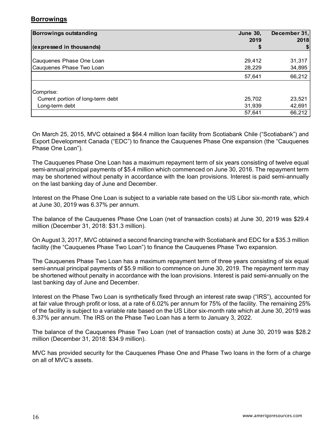# **Borrowings**

| <b>Borrowings outstanding</b>     | <b>June 30,</b> | December 31, |  |
|-----------------------------------|-----------------|--------------|--|
|                                   | 2019            | 2018         |  |
| (expressed in thousands)          |                 |              |  |
|                                   |                 |              |  |
| Cauquenes Phase One Loan          | 29,412          | 31,317       |  |
| Cauquenes Phase Two Loan          | 28,229          | 34,895       |  |
|                                   | 57,641          | 66,212       |  |
| Comprise:                         |                 |              |  |
| Current portion of long-term debt | 25,702          | 23,521       |  |
| Long-term debt                    | 31,939          | 42,691       |  |
|                                   | 57,641          | 66,212       |  |

On March 25, 2015, MVC obtained a \$64.4 million loan facility from Scotiabank Chile ("Scotiabank") and Export Development Canada ("EDC") to finance the Cauquenes Phase One expansion (the "Cauquenes Phase One Loan").

The Cauquenes Phase One Loan has a maximum repayment term of six years consisting of twelve equal semi-annual principal payments of \$5.4 million which commenced on June 30, 2016. The repayment term may be shortened without penalty in accordance with the loan provisions. Interest is paid semi-annually on the last banking day of June and December.

Interest on the Phase One Loan is subject to a variable rate based on the US Libor six-month rate, which at June 30, 2019 was 6.37% per annum.

The balance of the Cauquenes Phase One Loan (net of transaction costs) at June 30, 2019 was \$29.4 million (December 31, 2018: \$31.3 million).

On August 3, 2017, MVC obtained a second financing tranche with Scotiabank and EDC for a \$35.3 million facility (the "Cauquenes Phase Two Loan") to finance the Cauquenes Phase Two expansion.

 The Cauquenes Phase Two Loan has a maximum repayment term of three years consisting of six equal semi-annual principal payments of \$5.9 million to commence on June 30, 2019. The repayment term may be shortened without penalty in accordance with the loan provisions. Interest is paid semi-annually on the last banking day of June and December.

 Interest on the Phase Two Loan is synthetically fixed through an interest rate swap ("IRS"), accounted for at fair value through profit or loss, at a rate of 6.02% per annum for 75% of the facility. The remaining 25% of the facility is subject to a variable rate based on the US Libor six-month rate which at June 30, 2019 was 6.37% per annum. The IRS on the Phase Two Loan has a term to January 3, 2022.

 The balance of the Cauquenes Phase Two Loan (net of transaction costs) at June 30, 2019 was \$28.2 million (December 31, 2018: \$34.9 million).

 MVC has provided security for the Cauquenes Phase One and Phase Two loans in the form of a charge on all of MVC's assets.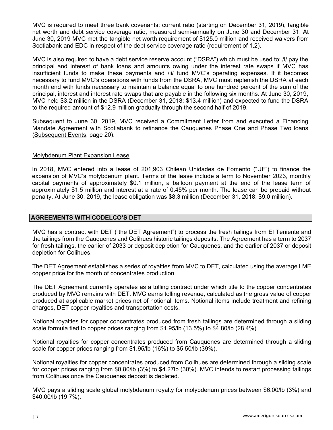MVC is required to meet three bank covenants: current ratio (starting on December 31, 2019), tangible net worth and debt service coverage ratio, measured semi-annually on June 30 and December 31. At June 30, 2019 MVC met the tangible net worth requirement of \$125.0 million and received waivers from Scotiabank and EDC in respect of the debt service coverage ratio (requirement of 1.2).

MVC is also required to have a debt service reserve account ("DSRA") which must be used to: /i/ pay the principal and interest of bank loans and amounts owing under the interest rate swaps if MVC has insufficient funds to make these payments and /ii/ fund MVC's operating expenses. If it becomes necessary to fund MVC's operations with funds from the DSRA, MVC must replenish the DSRA at each month end with funds necessary to maintain a balance equal to one hundred percent of the sum of the principal, interest and interest rate swaps that are payable in the following six months. At June 30, 2019, MVC held \$3.2 million in the DSRA (December 31, 2018: \$13.4 million) and expected to fund the DSRA to the required amount of \$12.9 million gradually through the second half of 2019.

Subsequent to June 30, 2019, MVC received a Commitment Letter from and executed a Financing Mandate Agreement with Scotiabank to refinance the Cauquenes Phase One and Phase Two loans (Subsequent Events, page 20).

### Molybdenum Plant Expansion Lease

In 2018, MVC entered into a lease of 201,903 Chilean Unidades de Fomento ("UF") to finance the expansion of MVC's molybdenum plant. Terms of the lease include a term to November 2023, monthly capital payments of approximately \$0.1 million, a balloon payment at the end of the lease term of approximately \$1.5 million and interest at a rate of 0.45% per month. The lease can be prepaid without penalty. At June 30, 2019, the lease obligation was \$8.3 million (December 31, 2018: \$9.0 million).

### **AGREEMENTS WITH CODELCO'S DET**

MVC has a contract with DET ("the DET Agreement") to process the fresh tailings from El Teniente and the tailings from the Cauquenes and Colihues historic tailings deposits. The Agreement has a term to 2037 for fresh tailings, the earlier of 2033 or deposit depletion for Cauquenes, and the earlier of 2037 or deposit depletion for Colihues.

The DET Agreement establishes a series of royalties from MVC to DET, calculated using the average LME copper price for the month of concentrates production.

The DET Agreement currently operates as a tolling contract under which title to the copper concentrates produced by MVC remains with DET. MVC earns tolling revenue, calculated as the gross value of copper produced at applicable market prices net of notional items. Notional items include treatment and refining charges, DET copper royalties and transportation costs.

Notional royalties for copper concentrates produced from fresh tailings are determined through a sliding scale formula tied to copper prices ranging from \$1.95/lb (13.5%) to \$4.80/lb (28.4%).

Notional royalties for copper concentrates produced from Cauquenes are determined through a sliding scale for copper prices ranging from \$1.95/lb (16%) to \$5.50/lb (39%).

Notional royalties for copper concentrates produced from Colihues are determined through a sliding scale for copper prices ranging from \$0.80/lb (3%) to \$4.27lb (30%). MVC intends to restart processing tailings from Colihues once the Cauquenes deposit is depleted.

MVC pays a sliding scale global molybdenum royalty for molybdenum prices between \$6.00/lb (3%) and \$40.00/lb (19.7%).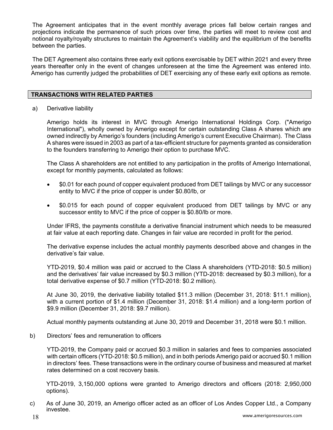The Agreement anticipates that in the event monthly average prices fall below certain ranges and projections indicate the permanence of such prices over time, the parties will meet to review cost and notional royalty/royalty structures to maintain the Agreement's viability and the equilibrium of the benefits between the parties.

The DET Agreement also contains three early exit options exercisable by DET within 2021 and every three years thereafter only in the event of changes unforeseen at the time the Agreement was entered into. Amerigo has currently judged the probabilities of DET exercising any of these early exit options as remote.

### **TRANSACTIONS WITH RELATED PARTIES**

a) Derivative liability

Amerigo holds its interest in MVC through Amerigo International Holdings Corp. ("Amerigo International"), wholly owned by Amerigo except for certain outstanding Class A shares which are owned indirectly by Amerigo's founders (including Amerigo's current Executive Chairman). The Class A shares were issued in 2003 as part of a tax-efficient structure for payments granted as consideration to the founders transferring to Amerigo their option to purchase MVC.

The Class A shareholders are not entitled to any participation in the profits of Amerigo International, except for monthly payments, calculated as follows:

- \$0.01 for each pound of copper equivalent produced from DET tailings by MVC or any successor entity to MVC if the price of copper is under \$0.80/lb, or
- \$0.015 for each pound of copper equivalent produced from DET tailings by MVC or any successor entity to MVC if the price of copper is \$0.80/lb or more.

Under IFRS, the payments constitute a derivative financial instrument which needs to be measured at fair value at each reporting date. Changes in fair value are recorded in profit for the period.

The derivative expense includes the actual monthly payments described above and changes in the derivative's fair value.

YTD-2019, \$0.4 million was paid or accrued to the Class A shareholders (YTD-2018: \$0.5 million) and the derivatives' fair value increased by \$0.3 million (YTD-2018: decreased by \$0.3 million), for a total derivative expense of \$0.7 million (YTD-2018: \$0.2 million).

At June 30, 2019, the derivative liability totalled \$11.3 million (December 31, 2018: \$11.1 million), with a current portion of \$1.4 million (December 31, 2018: \$1.4 million) and a long-term portion of \$9.9 million (December 31, 2018: \$9.7 million).

Actual monthly payments outstanding at June 30, 2019 and December 31, 2018 were \$0.1 million.

b) Directors' fees and remuneration to officers

 YTD-2019, the Company paid or accrued \$0.3 million in salaries and fees to companies associated with certain officers (YTD-2018: \$0.5 million), and in both periods Amerigo paid or accrued \$0.1 million in directors' fees. These transactions were in the ordinary course of business and measured at market rates determined on a cost recovery basis.

YTD-2019, 3,150,000 options were granted to Amerigo directors and officers (2018: 2,950,000 options).

c) As of June 30, 2019, an Amerigo officer acted as an officer of Los Andes Copper Ltd., a Company investee.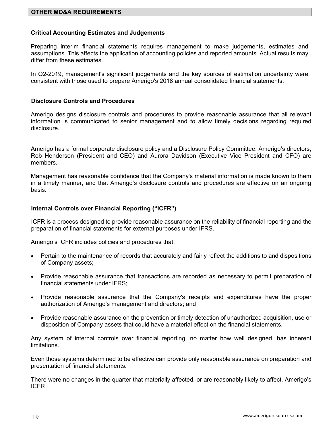### **Critical Accounting Estimates and Judgements**

Preparing interim financial statements requires management to make judgements, estimates and assumptions. This affects the application of accounting policies and reported amounts. Actual results may differ from these estimates.

In Q2-2019, management's significant judgements and the key sources of estimation uncertainty were consistent with those used to prepare Amerigo's 2018 annual consolidated financial statements.

### **Disclosure Controls and Procedures**

Amerigo designs disclosure controls and procedures to provide reasonable assurance that all relevant information is communicated to senior management and to allow timely decisions regarding required disclosure.

Amerigo has a formal corporate disclosure policy and a Disclosure Policy Committee. Amerigo's directors, Rob Henderson (President and CEO) and Aurora Davidson (Executive Vice President and CFO) are members.

Management has reasonable confidence that the Company's material information is made known to them in a timely manner, and that Amerigo's disclosure controls and procedures are effective on an ongoing basis.

### **Internal Controls over Financial Reporting ("ICFR")**

ICFR is a process designed to provide reasonable assurance on the reliability of financial reporting and the preparation of financial statements for external purposes under IFRS.

Amerigo's ICFR includes policies and procedures that:

- Pertain to the maintenance of records that accurately and fairly reflect the additions to and dispositions of Company assets;
- Provide reasonable assurance that transactions are recorded as necessary to permit preparation of financial statements under IFRS;
- Provide reasonable assurance that the Company's receipts and expenditures have the proper authorization of Amerigo's management and directors; and
- Provide reasonable assurance on the prevention or timely detection of unauthorized acquisition, use or disposition of Company assets that could have a material effect on the financial statements.

Any system of internal controls over financial reporting, no matter how well designed, has inherent limitations.

Even those systems determined to be effective can provide only reasonable assurance on preparation and presentation of financial statements.

There were no changes in the quarter that materially affected, or are reasonably likely to affect, Amerigo's ICFR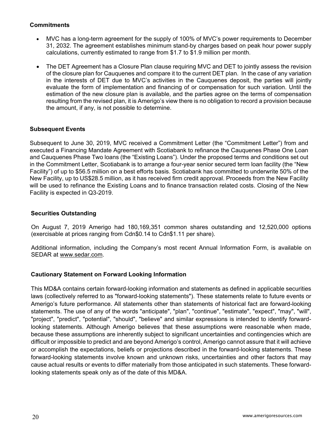# **Commitments**

- MVC has a long-term agreement for the supply of 100% of MVC's power requirements to December 31, 2032. The agreement establishes minimum stand-by charges based on peak hour power supply calculations, currently estimated to range from \$1.7 to \$1.9 million per month.
- The DET Agreement has a Closure Plan clause requiring MVC and DET to jointly assess the revision of the closure plan for Cauquenes and compare it to the current DET plan. In the case of any variation in the interests of DET due to MVC's activities in the Cauquenes deposit, the parties will jointly evaluate the form of implementation and financing of or compensation for such variation. Until the estimation of the new closure plan is available, and the parties agree on the terms of compensation resulting from the revised plan, it is Amerigo's view there is no obligation to record a provision because the amount, if any, is not possible to determine.

# **Subsequent Events**

Subsequent to June 30, 2019, MVC received a Commitment Letter (the "Commitment Letter") from and executed a Financing Mandate Agreement with Scotiabank to refinance the Cauquenes Phase One Loan and Cauquenes Phase Two loans (the "Existing Loans"). Under the proposed terms and conditions set out in the Commitment Letter, Scotiabank is to arrange a four-year senior secured term loan facility (the "New Facility") of up to \$56.5 million on a best efforts basis. Scotiabank has committed to underwrite 50% of the New Facility, up to US\$28.5 million, as it has received firm credit approval. Proceeds from the New Facility will be used to refinance the Existing Loans and to finance transaction related costs. Closing of the New Facility is expected in Q3-2019.

# **Securities Outstanding**

On August 7, 2019 Amerigo had 180,169,351 common shares outstanding and 12,520,000 options (exercisable at prices ranging from Cdn\$0.14 to Cdn\$1.11 per share).

Additional information, including the Company's most recent Annual Information Form, is available on SEDAR at www.sedar.com.

# **Cautionary Statement on Forward Looking Information**

This MD&A contains certain forward-looking information and statements as defined in applicable securities laws (collectively referred to as "forward-looking statements"). These statements relate to future events or Amerigo's future performance. All statements other than statements of historical fact are forward-looking statements. The use of any of the words "anticipate", "plan", "continue", "estimate", "expect", "may", "will", "project", "predict", "potential", "should", "believe" and similar expressions is intended to identify forwardlooking statements. Although Amerigo believes that these assumptions were reasonable when made, because these assumptions are inherently subject to significant uncertainties and contingencies which are difficult or impossible to predict and are beyond Amerigo's control, Amerigo cannot assure that it will achieve or accomplish the expectations, beliefs or projections described in the forward-looking statements. These forward-looking statements involve known and unknown risks, uncertainties and other factors that may cause actual results or events to differ materially from those anticipated in such statements. These forwardlooking statements speak only as of the date of this MD&A.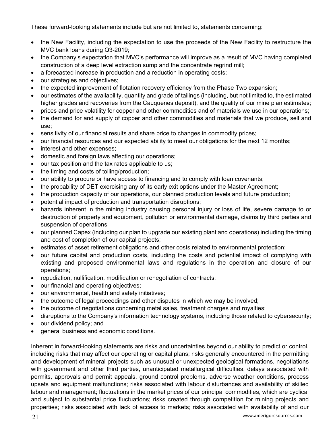These forward-looking statements include but are not limited to, statements concerning:

- the New Facility, including the expectation to use the proceeds of the New Facility to restructure the MVC bank loans during Q3-2019;
- the Company's expectation that MVC's performance will improve as a result of MVC having completed construction of a deep level extraction sump and the concentrate regrind mill;
- a forecasted increase in production and a reduction in operating costs;
- our strategies and objectives;
- the expected improvement of flotation recovery efficiency from the Phase Two expansion;
- our estimates of the availability, quantity and grade of tailings (including, but not limited to, the estimated higher grades and recoveries from the Cauquenes deposit), and the quality of our mine plan estimates;
- prices and price volatility for copper and other commodities and of materials we use in our operations;
- the demand for and supply of copper and other commodities and materials that we produce, sell and use;
- sensitivity of our financial results and share price to changes in commodity prices;
- our financial resources and our expected ability to meet our obligations for the next 12 months;
- interest and other expenses;
- domestic and foreign laws affecting our operations;
- our tax position and the tax rates applicable to us;
- the timing and costs of tolling/production;
- our ability to procure or have access to financing and to comply with loan covenants;
- the probability of DET exercising any of its early exit options under the Master Agreement;
- the production capacity of our operations, our planned production levels and future production;
- potential impact of production and transportation disruptions;
- hazards inherent in the mining industry causing personal injury or loss of life, severe damage to or destruction of property and equipment, pollution or environmental damage, claims by third parties and suspension of operations
- our planned Capex (including our plan to upgrade our existing plant and operations) including the timing and cost of completion of our capital projects;
- estimates of asset retirement obligations and other costs related to environmental protection;
- our future capital and production costs, including the costs and potential impact of complying with existing and proposed environmental laws and regulations in the operation and closure of our operations;
- repudiation, nullification, modification or renegotiation of contracts;
- our financial and operating objectives;
- our environmental, health and safety initiatives;
- the outcome of legal proceedings and other disputes in which we may be involved;
- the outcome of negotiations concerning metal sales, treatment charges and royalties;
- disruptions to the Company's information technology systems, including those related to cybersecurity;
- our dividend policy; and
- general business and economic conditions.

Inherent in forward-looking statements are risks and uncertainties beyond our ability to predict or control, including risks that may affect our operating or capital plans; risks generally encountered in the permitting and development of mineral projects such as unusual or unexpected geological formations, negotiations with government and other third parties, unanticipated metallurgical difficulties, delays associated with permits, approvals and permit appeals, ground control problems, adverse weather conditions, process upsets and equipment malfunctions; risks associated with labour disturbances and availability of skilled labour and management; fluctuations in the market prices of our principal commodities, which are cyclical and subject to substantial price fluctuations; risks created through competition for mining projects and properties; risks associated with lack of access to markets; risks associated with availability of and our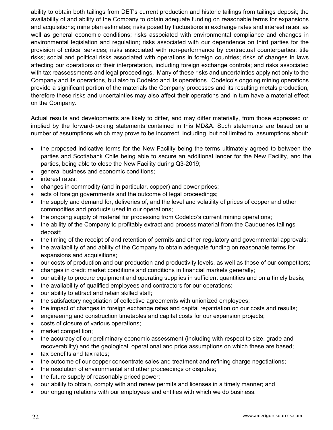ability to obtain both tailings from DET's current production and historic tailings from tailings deposit; the availability of and ability of the Company to obtain adequate funding on reasonable terms for expansions and acquisitions; mine plan estimates; risks posed by fluctuations in exchange rates and interest rates, as well as general economic conditions; risks associated with environmental compliance and changes in environmental legislation and regulation; risks associated with our dependence on third parties for the provision of critical services; risks associated with non-performance by contractual counterparties; title risks; social and political risks associated with operations in foreign countries; risks of changes in laws affecting our operations or their interpretation, including foreign exchange controls; and risks associated with tax reassessments and legal proceedings. Many of these risks and uncertainties apply not only to the Company and its operations, but also to Codelco and its operations. Codelco's ongoing mining operations provide a significant portion of the materials the Company processes and its resulting metals production, therefore these risks and uncertainties may also affect their operations and in turn have a material effect on the Company.

Actual results and developments are likely to differ, and may differ materially, from those expressed or implied by the forward-looking statements contained in this MD&A. Such statements are based on a number of assumptions which may prove to be incorrect, including, but not limited to, assumptions about:

- the proposed indicative terms for the New Facility being the terms ultimately agreed to between the parties and Scotiabank Chile being able to secure an additional lender for the New Facility, and the parties, being able to close the New Facility during Q3-2019;
- general business and economic conditions;
- interest rates;
- changes in commodity (and in particular, copper) and power prices;
- acts of foreign governments and the outcome of legal proceedings;
- the supply and demand for, deliveries of, and the level and volatility of prices of copper and other commodities and products used in our operations;
- the ongoing supply of material for processing from Codelco's current mining operations;
- the ability of the Company to profitably extract and process material from the Cauquenes tailings deposit;
- the timing of the receipt of and retention of permits and other regulatory and governmental approvals;
- the availability of and ability of the Company to obtain adequate funding on reasonable terms for expansions and acquisitions;
- our costs of production and our production and productivity levels, as well as those of our competitors;
- changes in credit market conditions and conditions in financial markets generally;
- our ability to procure equipment and operating supplies in sufficient quantities and on a timely basis;
- the availability of qualified employees and contractors for our operations;
- our ability to attract and retain skilled staff;
- the satisfactory negotiation of collective agreements with unionized employees;
- the impact of changes in foreign exchange rates and capital repatriation on our costs and results;
- engineering and construction timetables and capital costs for our expansion projects;
- costs of closure of various operations;
- market competition;
- the accuracy of our preliminary economic assessment (including with respect to size, grade and recoverability) and the geological, operational and price assumptions on which these are based;
- tax benefits and tax rates:
- the outcome of our copper concentrate sales and treatment and refining charge negotiations;
- the resolution of environmental and other proceedings or disputes;
- $\bullet$  the future supply of reasonably priced power;
- our ability to obtain, comply with and renew permits and licenses in a timely manner; and
- our ongoing relations with our employees and entities with which we do business.